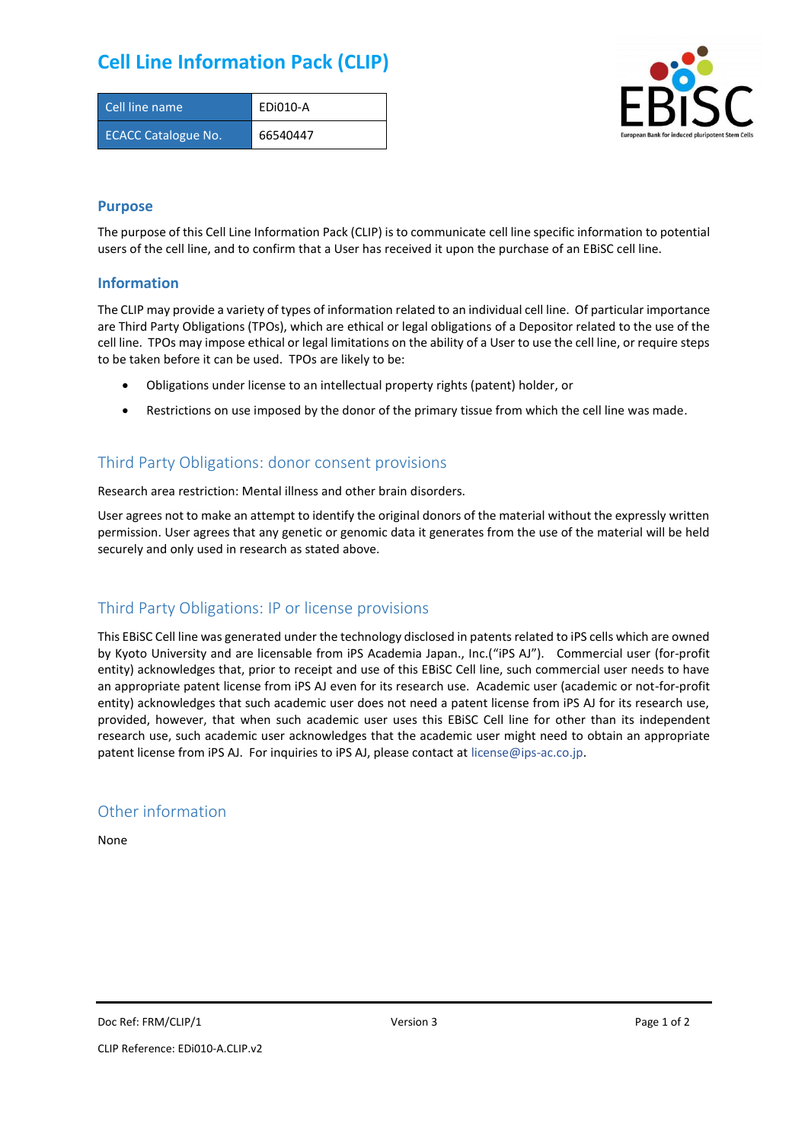# **Cell Line Information Pack (CLIP)**

| Cell line name             | EDi010-A |
|----------------------------|----------|
| <b>ECACC Catalogue No.</b> | 66540447 |



### **Purpose**

The purpose of this Cell Line Information Pack (CLIP) is to communicate cell line specific information to potential users of the cell line, and to confirm that a User has received it upon the purchase of an EBiSC cell line.

#### **Information**

The CLIP may provide a variety of types of information related to an individual cell line. Of particular importance are Third Party Obligations (TPOs), which are ethical or legal obligations of a Depositor related to the use of the cell line. TPOs may impose ethical or legal limitations on the ability of a User to use the cell line, or require steps to be taken before it can be used. TPOs are likely to be:

- Obligations under license to an intellectual property rights (patent) holder, or
- Restrictions on use imposed by the donor of the primary tissue from which the cell line was made.

# Third Party Obligations: donor consent provisions

Research area restriction: Mental illness and other brain disorders.

User agrees not to make an attempt to identify the original donors of the material without the expressly written permission. User agrees that any genetic or genomic data it generates from the use of the material will be held securely and only used in research as stated above.

## Third Party Obligations: IP or license provisions

This EBiSC Cell line was generated under the technology disclosed in patents related to iPS cells which are owned by Kyoto University and are licensable from iPS Academia Japan., Inc.("iPS AJ"). Commercial user (for-profit entity) acknowledges that, prior to receipt and use of this EBiSC Cell line, such commercial user needs to have an appropriate patent license from iPS AJ even for its research use. Academic user (academic or not-for-profit entity) acknowledges that such academic user does not need a patent license from iPS AJ for its research use, provided, however, that when such academic user uses this EBiSC Cell line for other than its independent research use, such academic user acknowledges that the academic user might need to obtain an appropriate patent license from iPS AJ. For inquiries to iPS AJ, please contact at [license@ips-ac.co.jp.](mailto:license@ips-ac.co.jp)

### Other information

None